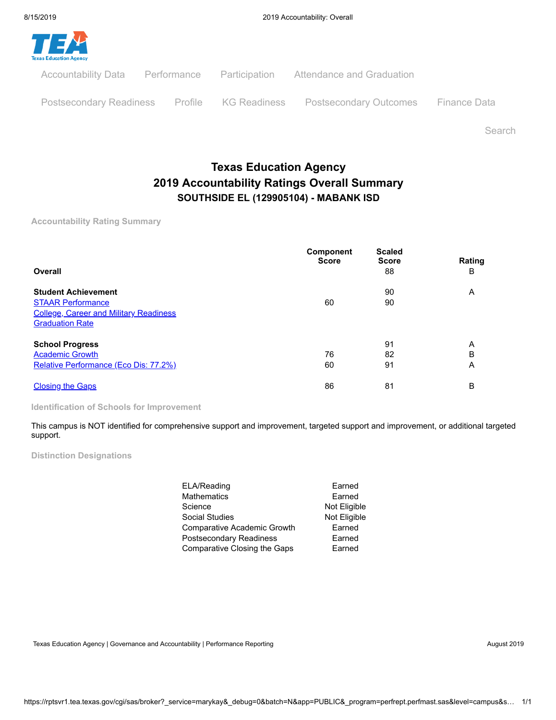

Search

# **Texas Education Agency 2019 Accountability Ratings Overall Summary SOUTHSIDE EL (129905104) - MABANK ISD**

**Accountability Rating Summary**

| Overall                                                                                                                           | <b>Component</b><br><b>Score</b> | <b>Scaled</b><br><b>Score</b><br>88 | Rating<br>B |
|-----------------------------------------------------------------------------------------------------------------------------------|----------------------------------|-------------------------------------|-------------|
| <b>Student Achievement</b><br><b>STAAR Performance</b><br><b>College, Career and Military Readiness</b><br><b>Graduation Rate</b> | 60                               | 90<br>90                            | A           |
| <b>School Progress</b><br><b>Academic Growth</b><br>Relative Performance (Eco Dis: 77.2%)                                         | 76<br>60                         | 91<br>82<br>91                      | Α<br>B<br>Α |
| <b>Closing the Gaps</b>                                                                                                           | 86                               | 81                                  | B           |

**Identification of Schools for Improvement**

This campus is NOT identified for comprehensive support and improvement, targeted support and improvement, or additional targeted support.

**Distinction Designations**

| ELA/Reading                  | Earned       |
|------------------------------|--------------|
| Mathematics                  | Earned       |
| Science                      | Not Eligible |
| Social Studies               | Not Eligible |
| Comparative Academic Growth  | Earned       |
| Postsecondary Readiness      | Earned       |
| Comparative Closing the Gaps | Earned       |

Texas Education Agency | Governance and Accountability | Performance Reporting August 2019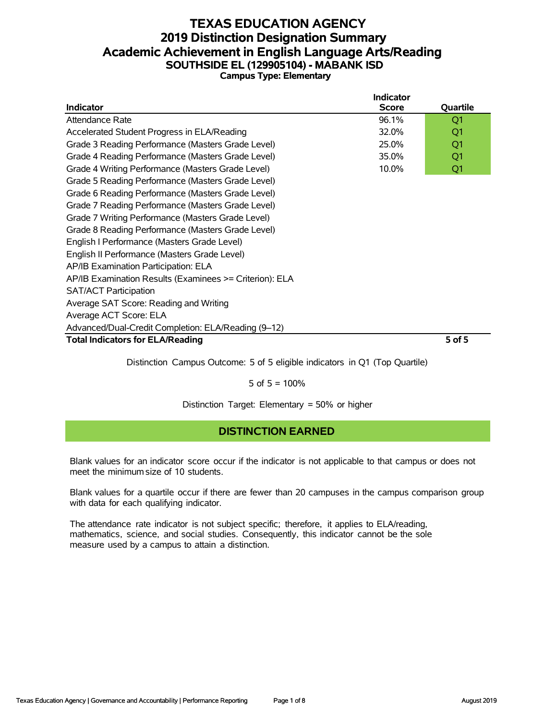#### **TEXAS EDUCATION AGENCY 2019 Distinction Designation Summary Academic Achievement in English Language Arts/Reading SOUTHSIDE EL (129905104) - MABANK ISD Campus Type: Elementary**

| Indicator                                               | <b>Indicator</b><br><b>Score</b> | Quartile |
|---------------------------------------------------------|----------------------------------|----------|
| Attendance Rate                                         | 96.1%                            | Q1       |
| Accelerated Student Progress in ELA/Reading             | 32.0%                            | Q1       |
| Grade 3 Reading Performance (Masters Grade Level)       | 25.0%                            | Q1       |
| Grade 4 Reading Performance (Masters Grade Level)       | 35.0%                            | Q1       |
| Grade 4 Writing Performance (Masters Grade Level)       | 10.0%                            | Q1       |
| Grade 5 Reading Performance (Masters Grade Level)       |                                  |          |
| Grade 6 Reading Performance (Masters Grade Level)       |                                  |          |
| Grade 7 Reading Performance (Masters Grade Level)       |                                  |          |
| Grade 7 Writing Performance (Masters Grade Level)       |                                  |          |
| Grade 8 Reading Performance (Masters Grade Level)       |                                  |          |
| English I Performance (Masters Grade Level)             |                                  |          |
| English II Performance (Masters Grade Level)            |                                  |          |
| AP/IB Examination Participation: ELA                    |                                  |          |
| AP/IB Examination Results (Examinees >= Criterion): ELA |                                  |          |
| <b>SAT/ACT Participation</b>                            |                                  |          |
| Average SAT Score: Reading and Writing                  |                                  |          |
| Average ACT Score: ELA                                  |                                  |          |
| Advanced/Dual-Credit Completion: ELA/Reading (9-12)     |                                  |          |
| <b>Total Indicators for ELA/Reading</b>                 |                                  | 5 of 5   |

Distinction Campus Outcome: 5 of 5 eligible indicators in Q1 (Top Quartile)

5 of  $5 = 100%$ 

Distinction Target: Elementary = 50% or higher

### **DISTINCTION EARNED**

Blank values for an indicator score occur if the indicator is not applicable to that campus or does not meet the minimum size of 10 students.

Blank values for a quartile occur if there are fewer than 20 campuses in the campus comparison group with data for each qualifying indicator.

The attendance rate indicator is not subject specific; therefore, it applies to ELA/reading, mathematics, science, and social studies. Consequently, this indicator cannot be the sole measure used by a campus to attain a distinction.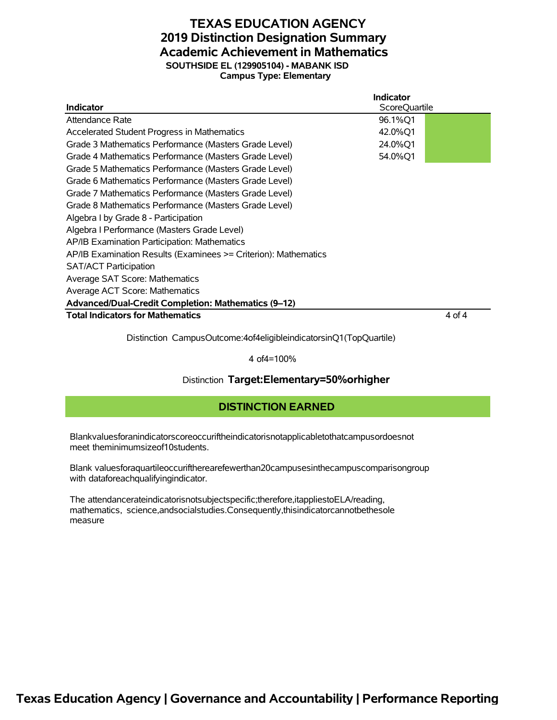# **TEXAS EDUCATION AGENCY 2019 Distinction Designation Summary Academic Achievement in Mathematics SOUTHSIDE EL (129905104) - MABANK ISD**

**Campus Type: Elementary**

|                                                                 | Indicator     |        |
|-----------------------------------------------------------------|---------------|--------|
| <b>Indicator</b>                                                | ScoreQuartile |        |
| Attendance Rate                                                 | 96.1%Q1       |        |
| Accelerated Student Progress in Mathematics                     | 42.0%Q1       |        |
| Grade 3 Mathematics Performance (Masters Grade Level)           | 24.0%Q1       |        |
| Grade 4 Mathematics Performance (Masters Grade Level)           | 54.0%Q1       |        |
| Grade 5 Mathematics Performance (Masters Grade Level)           |               |        |
| Grade 6 Mathematics Performance (Masters Grade Level)           |               |        |
| Grade 7 Mathematics Performance (Masters Grade Level)           |               |        |
| Grade 8 Mathematics Performance (Masters Grade Level)           |               |        |
| Algebra I by Grade 8 - Participation                            |               |        |
| Algebra I Performance (Masters Grade Level)                     |               |        |
| AP/IB Examination Participation: Mathematics                    |               |        |
| AP/IB Examination Results (Examinees >= Criterion): Mathematics |               |        |
| <b>SAT/ACT Participation</b>                                    |               |        |
| Average SAT Score: Mathematics                                  |               |        |
| Average ACT Score: Mathematics                                  |               |        |
| Advanced/Dual-Credit Completion: Mathematics (9-12)             |               |        |
| <b>Total Indicators for Mathematics</b>                         |               | 4 of 4 |

Distinction CampusOutcome:4of4eligibleindicatorsinQ1(TopQuartile)

4 of4=100%

#### Distinction **Target:Elementary=50%orhigher**

#### **DISTINCTION EARNED**

Blankvaluesforanindicatorscoreoccuriftheindicatorisnotapplicabletothatcampusordoesnot meet theminimumsizeof10students.

Blank valuesforaquartileoccuriftherearefewerthan20campusesinthecampuscomparisongroup with dataforeachqualifyingindicator.

The attendancerateindicatorisnotsubjectspecific;therefore,itappliestoELA/reading, mathematics, science,andsocialstudies.Consequently,thisindicatorcannotbethesole measure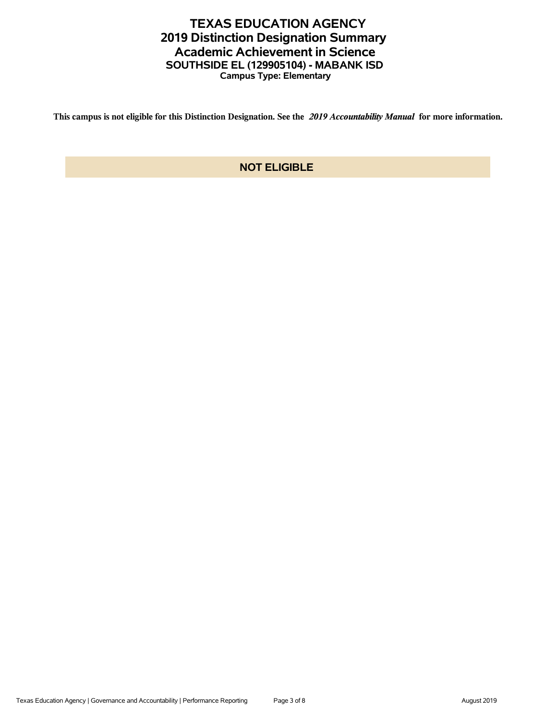## **TEXAS EDUCATION AGENCY 2019 Distinction Designation Summary Academic Achievement in Science SOUTHSIDE EL (129905104) - MABANK ISD Campus Type: Elementary**

**This campus is not eligible for this Distinction Designation. See the** *2019 Accountability Manual* **for more information.**

#### **NOT ELIGIBLE**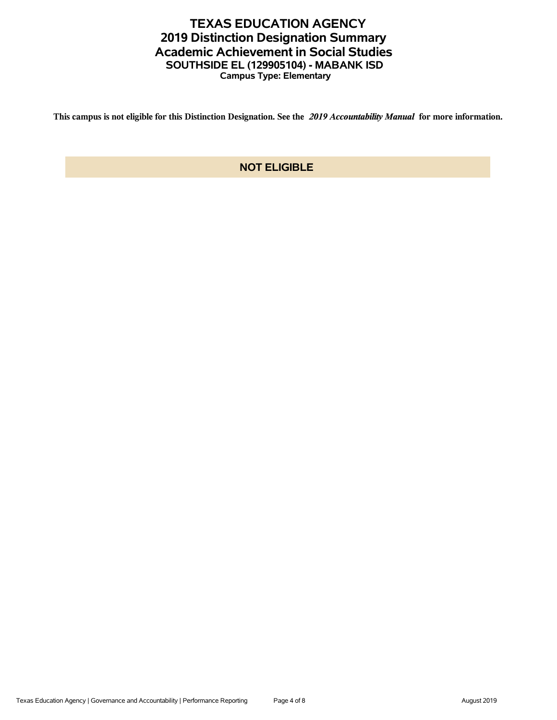## **TEXAS EDUCATION AGENCY 2019 Distinction Designation Summary Academic Achievement in Social Studies SOUTHSIDE EL (129905104) - MABANK ISD Campus Type: Elementary**

**This campus is not eligible for this Distinction Designation. See the** *2019 Accountability Manual* **for more information.**

### **NOT ELIGIBLE**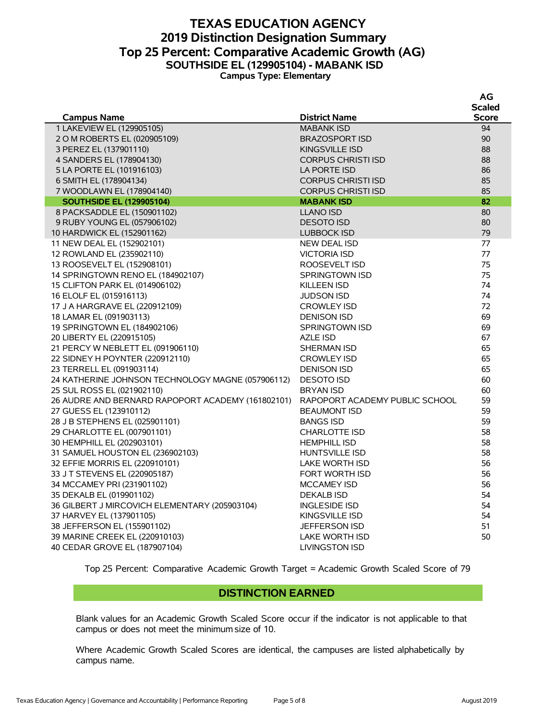#### **TEXAS EDUCATION AGENCY 2019 Distinction Designation Summary Top 25 Percent: Comparative Academic Growth (AG) SOUTHSIDE EL (129905104) - MABANK ISD Campus Type: Elementary**

| Scaled<br><b>Score</b><br><b>District Name</b><br><b>Campus Name</b><br>1 LAKEVIEW EL (129905105)<br><b>MABANK ISD</b><br>94<br>2 O M ROBERTS EL (020905109)<br>90<br><b>BRAZOSPORT ISD</b><br>3 PEREZ EL (137901110)<br>88<br><b>KINGSVILLE ISD</b><br>4 SANDERS EL (178904130)<br>88<br><b>CORPUS CHRISTI ISD</b><br>5 LA PORTE EL (101916103)<br>LA PORTE ISD<br>86<br>85<br>6 SMITH EL (178904134)<br><b>CORPUS CHRISTI ISD</b><br>85<br>7 WOODLAWN EL (178904140)<br><b>CORPUS CHRISTI ISD</b><br>82<br><b>SOUTHSIDE EL (129905104)</b><br><b>MABANK ISD</b><br>80<br>8 PACKSADDLE EL (150901102)<br><b>LLANO ISD</b><br>80<br><b>DESOTO ISD</b><br>9 RUBY YOUNG EL (057906102)<br>79<br>10 HARDWICK EL (152901162)<br><b>LUBBOCK ISD</b><br>77<br>11 NEW DEAL EL (152902101)<br><b>NEW DEAL ISD</b><br>12 ROWLAND EL (235902110)<br>77<br><b>VICTORIA ISD</b><br>13 ROOSEVELT EL (152908101)<br>75<br>ROOSEVELT ISD<br>75<br>14 SPRINGTOWN RENO EL (184902107)<br>SPRINGTOWN ISD<br>74<br>15 CLIFTON PARK EL (014906102)<br><b>KILLEEN ISD</b><br>74<br>16 ELOLF EL (015916113)<br><b>JUDSON ISD</b><br>72<br>17 J A HARGRAVE EL (220912109)<br><b>CROWLEY ISD</b><br>69<br>18 LAMAR EL (091903113)<br><b>DENISON ISD</b><br>69<br>19 SPRINGTOWN EL (184902106)<br><b>SPRINGTOWN ISD</b><br>20 LIBERTY EL (220915105)<br>67<br>AZLE ISD<br>65<br>21 PERCY W NEBLETT EL (091906110)<br>SHERMAN ISD<br>65<br>22 SIDNEY H POYNTER (220912110)<br><b>CROWLEY ISD</b><br>65<br>23 TERRELL EL (091903114)<br><b>DENISON ISD</b><br>24 KATHERINE JOHNSON TECHNOLOGY MAGNE (057906112)<br><b>DESOTO ISD</b><br>60<br>60<br>25 SUL ROSS EL (021902110)<br><b>BRYAN ISD</b><br>26 AUDRE AND BERNARD RAPOPORT ACADEMY (161802101)<br>59<br>RAPOPORT ACADEMY PUBLIC SCHOOL<br>59<br>27 GUESS EL (123910112)<br><b>BEAUMONT ISD</b><br>59<br>28 J B STEPHENS EL (025901101)<br><b>BANGS ISD</b><br>58<br>29 CHARLOTTE EL (007901101)<br><b>CHARLOTTE ISD</b><br>30 HEMPHILL EL (202903101)<br>58<br><b>HEMPHILL ISD</b><br>58<br>31 SAMUEL HOUSTON EL (236902103)<br>HUNTSVILLE ISD |
|------------------------------------------------------------------------------------------------------------------------------------------------------------------------------------------------------------------------------------------------------------------------------------------------------------------------------------------------------------------------------------------------------------------------------------------------------------------------------------------------------------------------------------------------------------------------------------------------------------------------------------------------------------------------------------------------------------------------------------------------------------------------------------------------------------------------------------------------------------------------------------------------------------------------------------------------------------------------------------------------------------------------------------------------------------------------------------------------------------------------------------------------------------------------------------------------------------------------------------------------------------------------------------------------------------------------------------------------------------------------------------------------------------------------------------------------------------------------------------------------------------------------------------------------------------------------------------------------------------------------------------------------------------------------------------------------------------------------------------------------------------------------------------------------------------------------------------------------------------------------------------------------------------------------------------------------------------------------------------------------------------------------------------------------------------------------------|
|                                                                                                                                                                                                                                                                                                                                                                                                                                                                                                                                                                                                                                                                                                                                                                                                                                                                                                                                                                                                                                                                                                                                                                                                                                                                                                                                                                                                                                                                                                                                                                                                                                                                                                                                                                                                                                                                                                                                                                                                                                                                              |
|                                                                                                                                                                                                                                                                                                                                                                                                                                                                                                                                                                                                                                                                                                                                                                                                                                                                                                                                                                                                                                                                                                                                                                                                                                                                                                                                                                                                                                                                                                                                                                                                                                                                                                                                                                                                                                                                                                                                                                                                                                                                              |
|                                                                                                                                                                                                                                                                                                                                                                                                                                                                                                                                                                                                                                                                                                                                                                                                                                                                                                                                                                                                                                                                                                                                                                                                                                                                                                                                                                                                                                                                                                                                                                                                                                                                                                                                                                                                                                                                                                                                                                                                                                                                              |
|                                                                                                                                                                                                                                                                                                                                                                                                                                                                                                                                                                                                                                                                                                                                                                                                                                                                                                                                                                                                                                                                                                                                                                                                                                                                                                                                                                                                                                                                                                                                                                                                                                                                                                                                                                                                                                                                                                                                                                                                                                                                              |
|                                                                                                                                                                                                                                                                                                                                                                                                                                                                                                                                                                                                                                                                                                                                                                                                                                                                                                                                                                                                                                                                                                                                                                                                                                                                                                                                                                                                                                                                                                                                                                                                                                                                                                                                                                                                                                                                                                                                                                                                                                                                              |
|                                                                                                                                                                                                                                                                                                                                                                                                                                                                                                                                                                                                                                                                                                                                                                                                                                                                                                                                                                                                                                                                                                                                                                                                                                                                                                                                                                                                                                                                                                                                                                                                                                                                                                                                                                                                                                                                                                                                                                                                                                                                              |
|                                                                                                                                                                                                                                                                                                                                                                                                                                                                                                                                                                                                                                                                                                                                                                                                                                                                                                                                                                                                                                                                                                                                                                                                                                                                                                                                                                                                                                                                                                                                                                                                                                                                                                                                                                                                                                                                                                                                                                                                                                                                              |
|                                                                                                                                                                                                                                                                                                                                                                                                                                                                                                                                                                                                                                                                                                                                                                                                                                                                                                                                                                                                                                                                                                                                                                                                                                                                                                                                                                                                                                                                                                                                                                                                                                                                                                                                                                                                                                                                                                                                                                                                                                                                              |
|                                                                                                                                                                                                                                                                                                                                                                                                                                                                                                                                                                                                                                                                                                                                                                                                                                                                                                                                                                                                                                                                                                                                                                                                                                                                                                                                                                                                                                                                                                                                                                                                                                                                                                                                                                                                                                                                                                                                                                                                                                                                              |
|                                                                                                                                                                                                                                                                                                                                                                                                                                                                                                                                                                                                                                                                                                                                                                                                                                                                                                                                                                                                                                                                                                                                                                                                                                                                                                                                                                                                                                                                                                                                                                                                                                                                                                                                                                                                                                                                                                                                                                                                                                                                              |
|                                                                                                                                                                                                                                                                                                                                                                                                                                                                                                                                                                                                                                                                                                                                                                                                                                                                                                                                                                                                                                                                                                                                                                                                                                                                                                                                                                                                                                                                                                                                                                                                                                                                                                                                                                                                                                                                                                                                                                                                                                                                              |
|                                                                                                                                                                                                                                                                                                                                                                                                                                                                                                                                                                                                                                                                                                                                                                                                                                                                                                                                                                                                                                                                                                                                                                                                                                                                                                                                                                                                                                                                                                                                                                                                                                                                                                                                                                                                                                                                                                                                                                                                                                                                              |
|                                                                                                                                                                                                                                                                                                                                                                                                                                                                                                                                                                                                                                                                                                                                                                                                                                                                                                                                                                                                                                                                                                                                                                                                                                                                                                                                                                                                                                                                                                                                                                                                                                                                                                                                                                                                                                                                                                                                                                                                                                                                              |
|                                                                                                                                                                                                                                                                                                                                                                                                                                                                                                                                                                                                                                                                                                                                                                                                                                                                                                                                                                                                                                                                                                                                                                                                                                                                                                                                                                                                                                                                                                                                                                                                                                                                                                                                                                                                                                                                                                                                                                                                                                                                              |
|                                                                                                                                                                                                                                                                                                                                                                                                                                                                                                                                                                                                                                                                                                                                                                                                                                                                                                                                                                                                                                                                                                                                                                                                                                                                                                                                                                                                                                                                                                                                                                                                                                                                                                                                                                                                                                                                                                                                                                                                                                                                              |
|                                                                                                                                                                                                                                                                                                                                                                                                                                                                                                                                                                                                                                                                                                                                                                                                                                                                                                                                                                                                                                                                                                                                                                                                                                                                                                                                                                                                                                                                                                                                                                                                                                                                                                                                                                                                                                                                                                                                                                                                                                                                              |
|                                                                                                                                                                                                                                                                                                                                                                                                                                                                                                                                                                                                                                                                                                                                                                                                                                                                                                                                                                                                                                                                                                                                                                                                                                                                                                                                                                                                                                                                                                                                                                                                                                                                                                                                                                                                                                                                                                                                                                                                                                                                              |
|                                                                                                                                                                                                                                                                                                                                                                                                                                                                                                                                                                                                                                                                                                                                                                                                                                                                                                                                                                                                                                                                                                                                                                                                                                                                                                                                                                                                                                                                                                                                                                                                                                                                                                                                                                                                                                                                                                                                                                                                                                                                              |
|                                                                                                                                                                                                                                                                                                                                                                                                                                                                                                                                                                                                                                                                                                                                                                                                                                                                                                                                                                                                                                                                                                                                                                                                                                                                                                                                                                                                                                                                                                                                                                                                                                                                                                                                                                                                                                                                                                                                                                                                                                                                              |
|                                                                                                                                                                                                                                                                                                                                                                                                                                                                                                                                                                                                                                                                                                                                                                                                                                                                                                                                                                                                                                                                                                                                                                                                                                                                                                                                                                                                                                                                                                                                                                                                                                                                                                                                                                                                                                                                                                                                                                                                                                                                              |
|                                                                                                                                                                                                                                                                                                                                                                                                                                                                                                                                                                                                                                                                                                                                                                                                                                                                                                                                                                                                                                                                                                                                                                                                                                                                                                                                                                                                                                                                                                                                                                                                                                                                                                                                                                                                                                                                                                                                                                                                                                                                              |
|                                                                                                                                                                                                                                                                                                                                                                                                                                                                                                                                                                                                                                                                                                                                                                                                                                                                                                                                                                                                                                                                                                                                                                                                                                                                                                                                                                                                                                                                                                                                                                                                                                                                                                                                                                                                                                                                                                                                                                                                                                                                              |
|                                                                                                                                                                                                                                                                                                                                                                                                                                                                                                                                                                                                                                                                                                                                                                                                                                                                                                                                                                                                                                                                                                                                                                                                                                                                                                                                                                                                                                                                                                                                                                                                                                                                                                                                                                                                                                                                                                                                                                                                                                                                              |
|                                                                                                                                                                                                                                                                                                                                                                                                                                                                                                                                                                                                                                                                                                                                                                                                                                                                                                                                                                                                                                                                                                                                                                                                                                                                                                                                                                                                                                                                                                                                                                                                                                                                                                                                                                                                                                                                                                                                                                                                                                                                              |
|                                                                                                                                                                                                                                                                                                                                                                                                                                                                                                                                                                                                                                                                                                                                                                                                                                                                                                                                                                                                                                                                                                                                                                                                                                                                                                                                                                                                                                                                                                                                                                                                                                                                                                                                                                                                                                                                                                                                                                                                                                                                              |
|                                                                                                                                                                                                                                                                                                                                                                                                                                                                                                                                                                                                                                                                                                                                                                                                                                                                                                                                                                                                                                                                                                                                                                                                                                                                                                                                                                                                                                                                                                                                                                                                                                                                                                                                                                                                                                                                                                                                                                                                                                                                              |
|                                                                                                                                                                                                                                                                                                                                                                                                                                                                                                                                                                                                                                                                                                                                                                                                                                                                                                                                                                                                                                                                                                                                                                                                                                                                                                                                                                                                                                                                                                                                                                                                                                                                                                                                                                                                                                                                                                                                                                                                                                                                              |
|                                                                                                                                                                                                                                                                                                                                                                                                                                                                                                                                                                                                                                                                                                                                                                                                                                                                                                                                                                                                                                                                                                                                                                                                                                                                                                                                                                                                                                                                                                                                                                                                                                                                                                                                                                                                                                                                                                                                                                                                                                                                              |
|                                                                                                                                                                                                                                                                                                                                                                                                                                                                                                                                                                                                                                                                                                                                                                                                                                                                                                                                                                                                                                                                                                                                                                                                                                                                                                                                                                                                                                                                                                                                                                                                                                                                                                                                                                                                                                                                                                                                                                                                                                                                              |
|                                                                                                                                                                                                                                                                                                                                                                                                                                                                                                                                                                                                                                                                                                                                                                                                                                                                                                                                                                                                                                                                                                                                                                                                                                                                                                                                                                                                                                                                                                                                                                                                                                                                                                                                                                                                                                                                                                                                                                                                                                                                              |
|                                                                                                                                                                                                                                                                                                                                                                                                                                                                                                                                                                                                                                                                                                                                                                                                                                                                                                                                                                                                                                                                                                                                                                                                                                                                                                                                                                                                                                                                                                                                                                                                                                                                                                                                                                                                                                                                                                                                                                                                                                                                              |
|                                                                                                                                                                                                                                                                                                                                                                                                                                                                                                                                                                                                                                                                                                                                                                                                                                                                                                                                                                                                                                                                                                                                                                                                                                                                                                                                                                                                                                                                                                                                                                                                                                                                                                                                                                                                                                                                                                                                                                                                                                                                              |
|                                                                                                                                                                                                                                                                                                                                                                                                                                                                                                                                                                                                                                                                                                                                                                                                                                                                                                                                                                                                                                                                                                                                                                                                                                                                                                                                                                                                                                                                                                                                                                                                                                                                                                                                                                                                                                                                                                                                                                                                                                                                              |
|                                                                                                                                                                                                                                                                                                                                                                                                                                                                                                                                                                                                                                                                                                                                                                                                                                                                                                                                                                                                                                                                                                                                                                                                                                                                                                                                                                                                                                                                                                                                                                                                                                                                                                                                                                                                                                                                                                                                                                                                                                                                              |
| 56<br>32 EFFIE MORRIS EL (220910101)<br>LAKE WORTH ISD                                                                                                                                                                                                                                                                                                                                                                                                                                                                                                                                                                                                                                                                                                                                                                                                                                                                                                                                                                                                                                                                                                                                                                                                                                                                                                                                                                                                                                                                                                                                                                                                                                                                                                                                                                                                                                                                                                                                                                                                                       |
| 56<br>33 J T STEVENS EL (220905187)<br><b>FORT WORTH ISD</b>                                                                                                                                                                                                                                                                                                                                                                                                                                                                                                                                                                                                                                                                                                                                                                                                                                                                                                                                                                                                                                                                                                                                                                                                                                                                                                                                                                                                                                                                                                                                                                                                                                                                                                                                                                                                                                                                                                                                                                                                                 |
| 56<br>34 MCCAMEY PRI (231901102)<br><b>MCCAMEY ISD</b>                                                                                                                                                                                                                                                                                                                                                                                                                                                                                                                                                                                                                                                                                                                                                                                                                                                                                                                                                                                                                                                                                                                                                                                                                                                                                                                                                                                                                                                                                                                                                                                                                                                                                                                                                                                                                                                                                                                                                                                                                       |
| 54<br>35 DEKALB EL (019901102)<br><b>DEKALB ISD</b>                                                                                                                                                                                                                                                                                                                                                                                                                                                                                                                                                                                                                                                                                                                                                                                                                                                                                                                                                                                                                                                                                                                                                                                                                                                                                                                                                                                                                                                                                                                                                                                                                                                                                                                                                                                                                                                                                                                                                                                                                          |
| 36 GILBERT J MIRCOVICH ELEMENTARY (205903104)<br>54<br><b>INGLESIDE ISD</b>                                                                                                                                                                                                                                                                                                                                                                                                                                                                                                                                                                                                                                                                                                                                                                                                                                                                                                                                                                                                                                                                                                                                                                                                                                                                                                                                                                                                                                                                                                                                                                                                                                                                                                                                                                                                                                                                                                                                                                                                  |
| 37 HARVEY EL (137901105)<br>54<br>KINGSVILLE ISD                                                                                                                                                                                                                                                                                                                                                                                                                                                                                                                                                                                                                                                                                                                                                                                                                                                                                                                                                                                                                                                                                                                                                                                                                                                                                                                                                                                                                                                                                                                                                                                                                                                                                                                                                                                                                                                                                                                                                                                                                             |
| 38 JEFFERSON EL (155901102)<br>51<br><b>JEFFERSON ISD</b>                                                                                                                                                                                                                                                                                                                                                                                                                                                                                                                                                                                                                                                                                                                                                                                                                                                                                                                                                                                                                                                                                                                                                                                                                                                                                                                                                                                                                                                                                                                                                                                                                                                                                                                                                                                                                                                                                                                                                                                                                    |
| 50<br>39 MARINE CREEK EL (220910103)<br>LAKE WORTH ISD                                                                                                                                                                                                                                                                                                                                                                                                                                                                                                                                                                                                                                                                                                                                                                                                                                                                                                                                                                                                                                                                                                                                                                                                                                                                                                                                                                                                                                                                                                                                                                                                                                                                                                                                                                                                                                                                                                                                                                                                                       |
| 40 CEDAR GROVE EL (187907104)<br><b>LIVINGSTON ISD</b>                                                                                                                                                                                                                                                                                                                                                                                                                                                                                                                                                                                                                                                                                                                                                                                                                                                                                                                                                                                                                                                                                                                                                                                                                                                                                                                                                                                                                                                                                                                                                                                                                                                                                                                                                                                                                                                                                                                                                                                                                       |

Top 25 Percent: Comparative Academic Growth Target = Academic Growth Scaled Score of 79

#### **DISTINCTION EARNED**

Blank values for an Academic Growth Scaled Score occur if the indicator is not applicable to that campus or does not meet the minimum size of 10.

Where Academic Growth Scaled Scores are identical, the campuses are listed alphabetically by campus name.

**AG**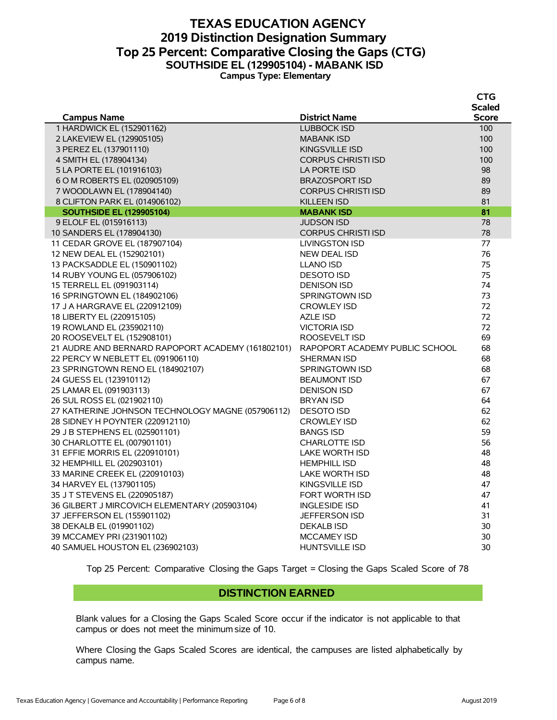#### **TEXAS EDUCATION AGENCY 2019 Distinction Designation Summary Top 25 Percent: Comparative Closing the Gaps (CTG) SOUTHSIDE EL (129905104) - MABANK ISD Campus Type: Elementary**

|                                                   |                                | <b>79</b>     |
|---------------------------------------------------|--------------------------------|---------------|
|                                                   |                                | <b>Scaled</b> |
| <b>Campus Name</b>                                | <b>District Name</b>           | <b>Score</b>  |
| 1 HARDWICK EL (152901162)                         | <b>LUBBOCK ISD</b>             | 100           |
| 2 LAKEVIEW EL (129905105)                         | <b>MABANK ISD</b>              | 100           |
| 3 PEREZ EL (137901110)                            | <b>KINGSVILLE ISD</b>          | 100           |
| 4 SMITH EL (178904134)                            | <b>CORPUS CHRISTI ISD</b>      | 100           |
| 5 LA PORTE EL (101916103)                         | LA PORTE ISD                   | 98            |
| 6 O M ROBERTS EL (020905109)                      | <b>BRAZOSPORT ISD</b>          | 89            |
| 7 WOODLAWN EL (178904140)                         | <b>CORPUS CHRISTI ISD</b>      | 89            |
| 8 CLIFTON PARK EL (014906102)                     | <b>KILLEEN ISD</b>             | 81            |
| <b>SOUTHSIDE EL (129905104)</b>                   | <b>MABANK ISD</b>              | 81            |
| 9 ELOLF EL (015916113)                            | <b>JUDSON ISD</b>              | 78            |
| 10 SANDERS EL (178904130)                         | <b>CORPUS CHRISTI ISD</b>      | 78            |
| 11 CEDAR GROVE EL (187907104)                     | <b>LIVINGSTON ISD</b>          | 77            |
| 12 NEW DEAL EL (152902101)                        | <b>NEW DEAL ISD</b>            | 76            |
| 13 PACKSADDLE EL (150901102)                      | <b>LLANO ISD</b>               | 75            |
| 14 RUBY YOUNG EL (057906102)                      | <b>DESOTO ISD</b>              | 75            |
| 15 TERRELL EL (091903114)                         | <b>DENISON ISD</b>             | 74            |
| 16 SPRINGTOWN EL (184902106)                      | <b>SPRINGTOWN ISD</b>          | 73            |
| 17 J A HARGRAVE EL (220912109)                    | <b>CROWLEY ISD</b>             | 72            |
| 18 LIBERTY EL (220915105)                         | AZLE ISD                       | 72            |
| 19 ROWLAND EL (235902110)                         | <b>VICTORIA ISD</b>            | 72            |
| 20 ROOSEVELT EL (152908101)                       | ROOSEVELT ISD                  | 69            |
| 21 AUDRE AND BERNARD RAPOPORT ACADEMY (161802101) | RAPOPORT ACADEMY PUBLIC SCHOOL | 68            |
| 22 PERCY W NEBLETT EL (091906110)                 | SHERMAN ISD                    | 68            |
| 23 SPRINGTOWN RENO EL (184902107)                 | <b>SPRINGTOWN ISD</b>          | 68            |
| 24 GUESS EL (123910112)                           | <b>BEAUMONT ISD</b>            | 67            |
| 25 LAMAR EL (091903113)                           | <b>DENISON ISD</b>             | 67            |
| 26 SUL ROSS EL (021902110)                        | <b>BRYAN ISD</b>               | 64            |
| 27 KATHERINE JOHNSON TECHNOLOGY MAGNE (057906112) | <b>DESOTO ISD</b>              | 62            |
| 28 SIDNEY H POYNTER (220912110)                   | <b>CROWLEY ISD</b>             | 62            |
| 29 J B STEPHENS EL (025901101)                    | <b>BANGS ISD</b>               | 59            |
| 30 CHARLOTTE EL (007901101)                       | <b>CHARLOTTE ISD</b>           | 56            |
| 31 EFFIE MORRIS EL (220910101)                    | LAKE WORTH ISD                 | 48            |
| 32 HEMPHILL EL (202903101)                        | <b>HEMPHILL ISD</b>            | 48            |
| 33 MARINE CREEK EL (220910103)                    | <b>LAKE WORTH ISD</b>          | 48            |
| 34 HARVEY EL (137901105)                          | <b>KINGSVILLE ISD</b>          | 47            |
| 35 J T STEVENS EL (220905187)                     | FORT WORTH ISD                 | 47            |
| 36 GILBERT J MIRCOVICH ELEMENTARY (205903104)     | <b>INGLESIDE ISD</b>           | 41            |
| 37 JEFFERSON EL (155901102)                       | <b>JEFFERSON ISD</b>           | 31            |
| 38 DEKALB EL (019901102)                          | <b>DEKALB ISD</b>              | 30            |
| 39 MCCAMEY PRI (231901102)                        | <b>MCCAMEY ISD</b>             | 30            |
| 40 SAMUEL HOUSTON EL (236902103)                  | <b>HUNTSVILLE ISD</b>          | 30            |
|                                                   |                                |               |

Top 25 Percent: Comparative Closing the Gaps Target = Closing the Gaps Scaled Score of 78

#### **DISTINCTION EARNED**

Blank values for a Closing the Gaps Scaled Score occur if the indicator is not applicable to that campus or does not meet the minimum size of 10.

Where Closing the Gaps Scaled Scores are identical, the campuses are listed alphabetically by campus name.

**CTG**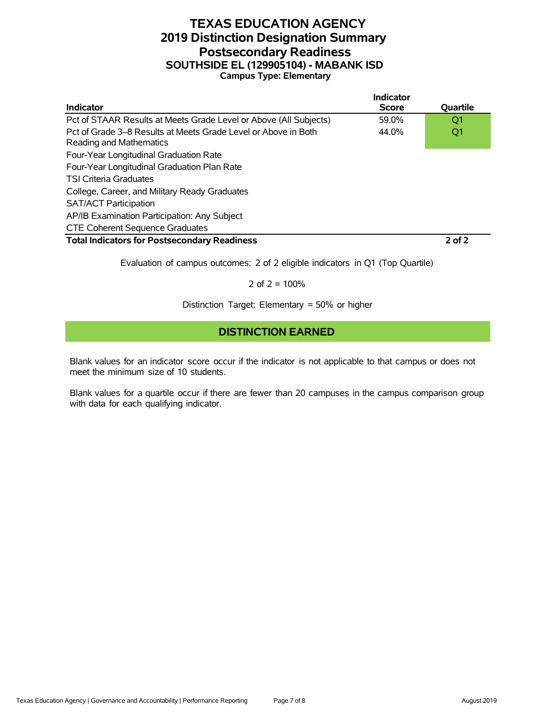#### **TEXAS EDUCATION AGENCY 2019 Distinction Designation Summary Postsecondary Readiness SOUTHSIDE EL (129905104) - MABANK ISD Campus Type: Elementary**

|                                                                                           | Indicator    |                 |
|-------------------------------------------------------------------------------------------|--------------|-----------------|
| <b>Indicator</b>                                                                          | <b>Score</b> | <b>Ouartile</b> |
| Pct of STAAR Results at Meets Grade Level or Above (All Subjects)                         | 59.0%        | O1              |
| Pct of Grade 3–8 Results at Meets Grade Level or Above in Both<br>Reading and Mathematics | 44.0%        | Q1              |
| Four-Year Longitudinal Graduation Rate                                                    |              |                 |
| Four-Year Longitudinal Graduation Plan Rate                                               |              |                 |
| <b>TSI Criteria Graduates</b>                                                             |              |                 |
| College, Career, and Military Ready Graduates                                             |              |                 |
| <b>SAT/ACT Participation</b>                                                              |              |                 |
| AP/IB Examination Participation: Any Subject                                              |              |                 |
| <b>CTE Coherent Sequence Graduates</b>                                                    |              |                 |
| <b>Total Indicators for Postsecondary Readiness</b>                                       |              | $2$ of $2$      |

Evaluation of campus outcomes: 2 of 2 eligible indicators in Q1 (Top Quartile)

2 of  $2 = 100%$ 

Distinction Target: Elementary = 50% or higher

#### **DISTINCTION EARNED**

Blank values for an indicator score occur if the indicator is not applicable to that campus or does not meet the minimum size of 10 students.

Blank values for a quartile occur if there are fewer than 20 campuses in the campus comparison group with data for each qualifying indicator.